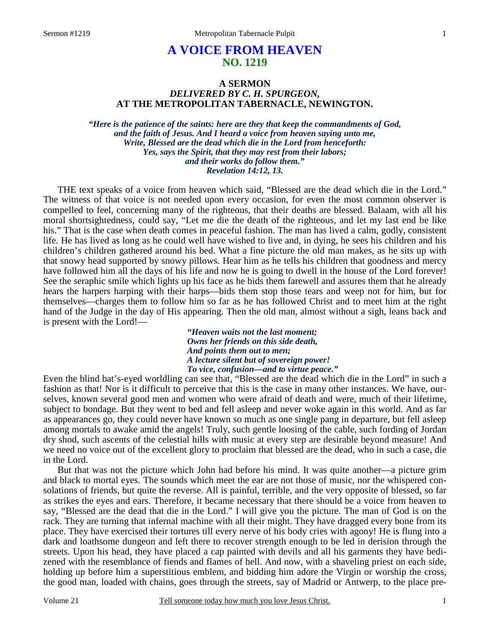# **A VOICE FROM HEAVEN NO. 1219**

# **A SERMON**  *DELIVERED BY C. H. SPURGEON,*  **AT THE METROPOLITAN TABERNACLE, NEWINGTON.**

*"Here is the patience of the saints: here are they that keep the commandments of God, and the faith of Jesus. And I heard a voice from heaven saying unto me, Write, Blessed are the dead which die in the Lord from henceforth: Yes, says the Spirit, that they may rest from their labors; and their works do follow them." Revelation 14:12, 13.* 

THE text speaks of a voice from heaven which said, "Blessed are the dead which die in the Lord." The witness of that voice is not needed upon every occasion, for even the most common observer is compelled to feel, concerning many of the righteous, that their deaths are blessed. Balaam, with all his moral shortsightedness, could say, "Let me die the death of the righteous, and let my last end be like his." That is the case when death comes in peaceful fashion. The man has lived a calm, godly, consistent life. He has lived as long as he could well have wished to live and, in dying, he sees his children and his children's children gathered around his bed. What a fine picture the old man makes, as he sits up with that snowy head supported by snowy pillows. Hear him as he tells his children that goodness and mercy have followed him all the days of his life and now he is going to dwell in the house of the Lord forever! See the seraphic smile which lights up his face as he bids them farewell and assures them that he already hears the harpers harping with their harps—bids them stop those tears and weep not for him, but for themselves—charges them to follow him so far as he has followed Christ and to meet him at the right hand of the Judge in the day of His appearing. Then the old man, almost without a sigh, leans back and is present with the Lord!—

> *"Heaven waits not the last moment; Owns her friends on this side death, And points them out to men; A lecture silent but of sovereign power! To vice, confusion—and to virtue peace."*

Even the blind bat's-eyed worldling can see that, "Blessed are the dead which die in the Lord" in such a fashion as that! Nor is it difficult to perceive that this is the case in many other instances. We have, ourselves, known several good men and women who were afraid of death and were, much of their lifetime, subject to bondage. But they went to bed and fell asleep and never woke again in this world. And as far as appearances go, they could never have known so much as one single pang in departure, but fell asleep among mortals to awake amid the angels! Truly, such gentle loosing of the cable, such fording of Jordan dry shod, such ascents of the celestial hills with music at every step are desirable beyond measure! And we need no voice out of the excellent glory to proclaim that blessed are the dead, who in such a case, die in the Lord.

But that was not the picture which John had before his mind. It was quite another—a picture grim and black to mortal eyes. The sounds which meet the ear are not those of music, nor the whispered consolations of friends, but quite the reverse. All is painful, terrible, and the very opposite of blessed, so far as strikes the eyes and ears. Therefore, it became necessary that there should be a voice from heaven to say, "Blessed are the dead that die in the Lord." I will give you the picture. The man of God is on the rack. They are turning that infernal machine with all their might. They have dragged every bone from its place. They have exercised their tortures till every nerve of his body cries with agony! He is flung into a dark and loathsome dungeon and left there to recover strength enough to be led in derision through the streets. Upon his head, they have placed a cap painted with devils and all his garments they have bedizened with the resemblance of fiends and flames of hell. And now, with a shaveling priest on each side, holding up before him a superstitious emblem, and bidding him adore the Virgin or worship the cross, the good man, loaded with chains, goes through the streets, say of Madrid or Antwerp, to the place pre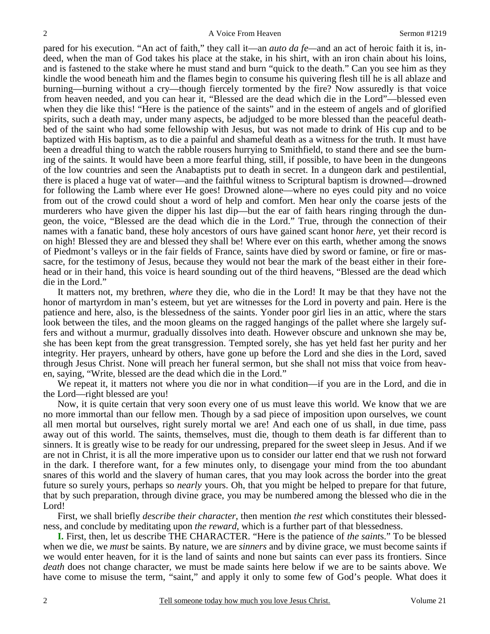pared for his execution. "An act of faith," they call it—an *auto da fe—*and an act of heroic faith it is, indeed, when the man of God takes his place at the stake, in his shirt, with an iron chain about his loins, and is fastened to the stake where he must stand and burn "quick to the death." Can you see him as they kindle the wood beneath him and the flames begin to consume his quivering flesh till he is all ablaze and burning—burning without a cry—though fiercely tormented by the fire? Now assuredly is that voice from heaven needed, and you can hear it, "Blessed are the dead which die in the Lord"—blessed even when they die like this! "Here is the patience of the saints" and in the esteem of angels and of glorified spirits, such a death may, under many aspects, be adjudged to be more blessed than the peaceful deathbed of the saint who had some fellowship with Jesus, but was not made to drink of His cup and to be baptized with His baptism, as to die a painful and shameful death as a witness for the truth. It must have been a dreadful thing to watch the rabble rousers hurrying to Smithfield, to stand there and see the burning of the saints. It would have been a more fearful thing, still, if possible, to have been in the dungeons of the low countries and seen the Anabaptists put to death in secret. In a dungeon dark and pestilential, there is placed a huge vat of water—and the faithful witness to Scriptural baptism is drowned—drowned for following the Lamb where ever He goes! Drowned alone—where no eyes could pity and no voice from out of the crowd could shout a word of help and comfort. Men hear only the coarse jests of the murderers who have given the dipper his last dip—but the ear of faith hears ringing through the dungeon, the voice, "Blessed are the dead which die in the Lord." True, through the connection of their names with a fanatic band, these holy ancestors of ours have gained scant honor *here*, yet their record is on high! Blessed they are and blessed they shall be! Where ever on this earth, whether among the snows of Piedmont's valleys or in the fair fields of France, saints have died by sword or famine, or fire or massacre, for the testimony of Jesus, because they would not bear the mark of the beast either in their forehead or in their hand, this voice is heard sounding out of the third heavens, "Blessed are the dead which die in the Lord."

It matters not, my brethren, *where* they die, who die in the Lord! It may be that they have not the honor of martyrdom in man's esteem, but yet are witnesses for the Lord in poverty and pain. Here is the patience and here, also, is the blessedness of the saints. Yonder poor girl lies in an attic, where the stars look between the tiles, and the moon gleams on the ragged hangings of the pallet where she largely suffers and without a murmur, gradually dissolves into death. However obscure and unknown she may be, she has been kept from the great transgression. Tempted sorely, she has yet held fast her purity and her integrity. Her prayers, unheard by others, have gone up before the Lord and she dies in the Lord, saved through Jesus Christ. None will preach her funeral sermon, but she shall not miss that voice from heaven, saying, "Write, blessed are the dead which die in the Lord."

We repeat it, it matters not where you die nor in what condition—if you are in the Lord, and die in the Lord—right blessed are you!

Now, it is quite certain that very soon every one of us must leave this world. We know that we are no more immortal than our fellow men. Though by a sad piece of imposition upon ourselves, we count all men mortal but ourselves, right surely mortal we are! And each one of us shall, in due time, pass away out of this world. The saints, themselves, must die, though to them death is far different than to sinners. It is greatly wise to be ready for our undressing, prepared for the sweet sleep in Jesus. And if we are not in Christ, it is all the more imperative upon us to consider our latter end that we rush not forward in the dark. I therefore want, for a few minutes only, to disengage your mind from the too abundant snares of this world and the slavery of human cares, that you may look across the border into the great future so surely yours, perhaps so *nearly* yours. Oh, that you might be helped to prepare for that future, that by such preparation, through divine grace, you may be numbered among the blessed who die in the Lord!

First, we shall briefly *describe their character*, then mention *the rest* which constitutes their blessedness, and conclude by meditating upon *the reward*, which is a further part of that blessedness.

**I.** First, then, let us describe THE CHARACTER. "Here is the patience of *the saint*s." To be blessed when we die, we *must* be saints. By nature, we are *sinners* and by divine grace, we must become saints if we would enter heaven, for it is the land of saints and none but saints can ever pass its frontiers. Since *death* does not change character, we must be made saints here below if we are to be saints above. We have come to misuse the term, "saint," and apply it only to some few of God's people. What does it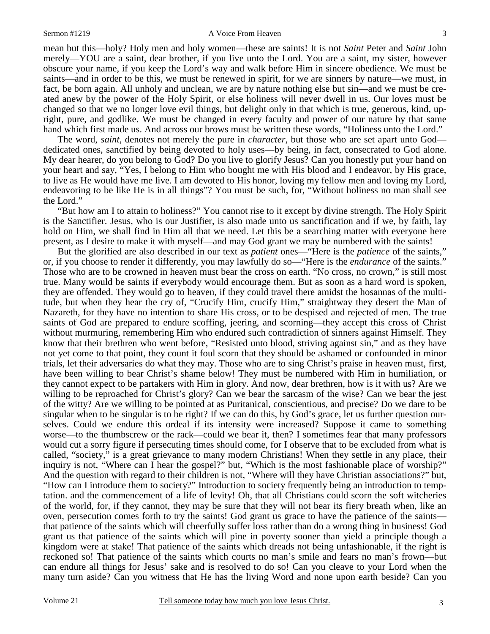#### Sermon #1219 A Voice From Heaven

mean but this—holy? Holy men and holy women—these are saints! It is not *Saint* Peter and *Saint* John merely—YOU are a saint, dear brother, if you live unto the Lord. You are a saint, my sister, however obscure your name, if you keep the Lord's way and walk before Him in sincere obedience. We must be saints—and in order to be this, we must be renewed in spirit, for we are sinners by nature—we must, in fact, be born again. All unholy and unclean, we are by nature nothing else but sin—and we must be created anew by the power of the Holy Spirit, or else holiness will never dwell in us. Our loves must be changed so that we no longer love evil things, but delight only in that which is true, generous, kind, upright, pure, and godlike. We must be changed in every faculty and power of our nature by that same hand which first made us. And across our brows must be written these words, "Holiness unto the Lord."

The word, *saint*, denotes not merely the pure in *character*, but those who are set apart unto God dedicated ones, sanctified by being devoted to holy uses—by being, in fact, consecrated to God alone. My dear hearer, do you belong to God? Do you live to glorify Jesus? Can you honestly put your hand on your heart and say, "Yes, I belong to Him who bought me with His blood and I endeavor, by His grace, to live as He would have me live. I am devoted to His honor, loving my fellow men and loving my Lord, endeavoring to be like He is in all things"? You must be such, for, "Without holiness no man shall see the Lord."

"But how am I to attain to holiness?" You cannot rise to it except by divine strength. The Holy Spirit is the Sanctifier. Jesus, who is our Justifier, is also made unto us sanctification and if we, by faith, lay hold on Him, we shall find in Him all that we need. Let this be a searching matter with everyone here present, as I desire to make it with myself—and may God grant we may be numbered with the saints!

But the glorified are also described in our text as *patient* ones—"Here is the *patience* of the saints," or, if you choose to render it differently, you may lawfully do so—"Here is the *endurance* of the saints." Those who are to be crowned in heaven must bear the cross on earth. "No cross, no crown," is still most true. Many would be saints if everybody would encourage them. But as soon as a hard word is spoken, they are offended. They would go to heaven, if they could travel there amidst the hosannas of the multitude, but when they hear the cry of, "Crucify Him, crucify Him," straightway they desert the Man of Nazareth, for they have no intention to share His cross, or to be despised and rejected of men. The true saints of God are prepared to endure scoffing, jeering, and scorning—they accept this cross of Christ without murmuring, remembering Him who endured such contradiction of sinners against Himself. They know that their brethren who went before, "Resisted unto blood, striving against sin," and as they have not yet come to that point, they count it foul scorn that they should be ashamed or confounded in minor trials, let their adversaries do what they may. Those who are to sing Christ's praise in heaven must, first, have been willing to bear Christ's shame below! They must be numbered with Him in humiliation, or they cannot expect to be partakers with Him in glory. And now, dear brethren, how is it with us? Are we willing to be reproached for Christ's glory? Can we bear the sarcasm of the wise? Can we bear the jest of the witty? Are we willing to be pointed at as Puritanical, conscientious, and precise? Do we dare to be singular when to be singular is to be right? If we can do this, by God's grace, let us further question ourselves. Could we endure this ordeal if its intensity were increased? Suppose it came to something worse—to the thumbscrew or the rack—could we bear it, then? I sometimes fear that many professors would cut a sorry figure if persecuting times should come, for I observe that to be excluded from what is called, "society," is a great grievance to many modern Christians! When they settle in any place, their inquiry is not, "Where can I hear the gospel?" but, "Which is the most fashionable place of worship?" And the question with regard to their children is not, "Where will they have Christian associations?" but, "How can I introduce them to society?" Introduction to society frequently being an introduction to temptation. and the commencement of a life of levity! Oh, that all Christians could scorn the soft witcheries of the world, for, if they cannot, they may be sure that they will not bear its fiery breath when, like an oven, persecution comes forth to try the saints! God grant us grace to have the patience of the saints that patience of the saints which will cheerfully suffer loss rather than do a wrong thing in business! God grant us that patience of the saints which will pine in poverty sooner than yield a principle though a kingdom were at stake! That patience of the saints which dreads not being unfashionable, if the right is reckoned so! That patience of the saints which courts no man's smile and fears no man's frown—but can endure all things for Jesus' sake and is resolved to do so! Can you cleave to your Lord when the many turn aside? Can you witness that He has the living Word and none upon earth beside? Can you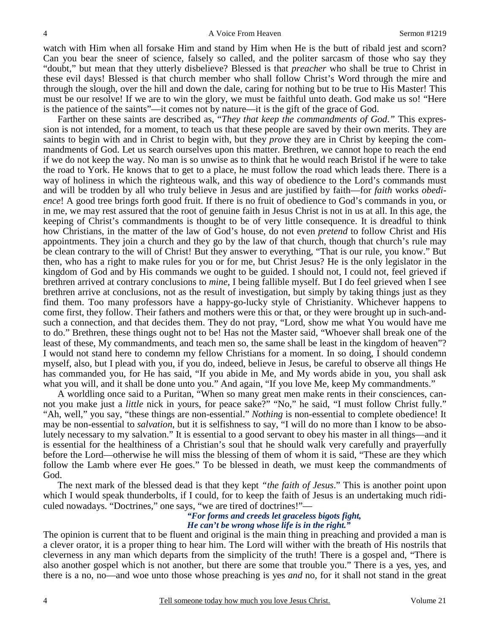watch with Him when all forsake Him and stand by Him when He is the butt of ribald jest and scorn? Can you bear the sneer of science, falsely so called, and the politer sarcasm of those who say they "doubt," but mean that they utterly disbelieve? Blessed is that *preacher* who shall be true to Christ in these evil days! Blessed is that church member who shall follow Christ's Word through the mire and through the slough, over the hill and down the dale, caring for nothing but to be true to His Master! This must be our resolve! If we are to win the glory, we must be faithful unto death. God make us so! "Here is the patience of the saints"—it comes not by nature—it is the gift of the grace of God.

Farther on these saints are described as, "*They that keep the commandments of God*.*"* This expression is not intended, for a moment, to teach us that these people are saved by their own merits. They are saints to begin with and in Christ to begin with, but they *prove* they are in Christ by keeping the commandments of God. Let us search ourselves upon this matter. Brethren, we cannot hope to reach the end if we do not keep the way. No man is so unwise as to think that he would reach Bristol if he were to take the road to York. He knows that to get to a place, he must follow the road which leads there. There is a way of holiness in which the righteous walk, and this way of obedience to the Lord's commands must and will be trodden by all who truly believe in Jesus and are justified by faith—for *faith* works *obedience*! A good tree brings forth good fruit. If there is no fruit of obedience to God's commands in you, or in me, we may rest assured that the root of genuine faith in Jesus Christ is not in us at all. In this age, the keeping of Christ's commandments is thought to be of very little consequence. It is dreadful to think how Christians, in the matter of the law of God's house, do not even *pretend* to follow Christ and His appointments. They join a church and they go by the law of that church, though that church's rule may be clean contrary to the will of Christ! But they answer to everything, "That is our rule, you know." But then, who has a right to make rules for you or for me, but Christ Jesus? He is the only legislator in the kingdom of God and by His commands we ought to be guided. I should not, I could not, feel grieved if brethren arrived at contrary conclusions to *mine*, I being fallible myself. But I do feel grieved when I see brethren arrive at conclusions, not as the result of investigation, but simply by taking things just as they find them. Too many professors have a happy-go-lucky style of Christianity. Whichever happens to come first, they follow. Their fathers and mothers were this or that, or they were brought up in such-andsuch a connection, and that decides them. They do not pray, "Lord, show me what You would have me to do." Brethren, these things ought not to be! Has not the Master said, "Whoever shall break one of the least of these, My commandments, and teach men so, the same shall be least in the kingdom of heaven"? I would not stand here to condemn my fellow Christians for a moment. In so doing, I should condemn myself, also, but I plead with you, if you do, indeed, believe in Jesus, be careful to observe all things He has commanded you, for He has said, "If you abide in Me, and My words abide in you, you shall ask what you will, and it shall be done unto you." And again, "If you love Me, keep My commandments."

A worldling once said to a Puritan, "When so many great men make rents in their consciences, cannot you make just a *little* nick in yours, for peace sake?" "No," he said, "I must follow Christ fully." "Ah, well," you say, "these things are non-essential." *Nothing* is non-essential to complete obedience! It may be non-essential to *salvation*, but it is selfishness to say, "I will do no more than I know to be absolutely necessary to my salvation." It is essential to a good servant to obey his master in all things—and it is essential for the healthiness of a Christian's soul that he should walk very carefully and prayerfully before the Lord—otherwise he will miss the blessing of them of whom it is said, "These are they which follow the Lamb where ever He goes." To be blessed in death, we must keep the commandments of God.

The next mark of the blessed dead is that they kept *"the faith of Jesus*." This is another point upon which I would speak thunderbolts, if I could, for to keep the faith of Jesus is an undertaking much ridiculed nowadays. "Doctrines," one says, "we are tired of doctrines!"—

### *"For forms and creeds let graceless bigots fight, He can't be wrong whose life is in the right."*

The opinion is current that to be fluent and original is the main thing in preaching and provided a man is a clever orator, it is a proper thing to hear him. The Lord will wither with the breath of His nostrils that cleverness in any man which departs from the simplicity of the truth! There is a gospel and, "There is also another gospel which is not another, but there are some that trouble you." There is a yes, yes, and there is a no, no—and woe unto those whose preaching is yes *and* no, for it shall not stand in the great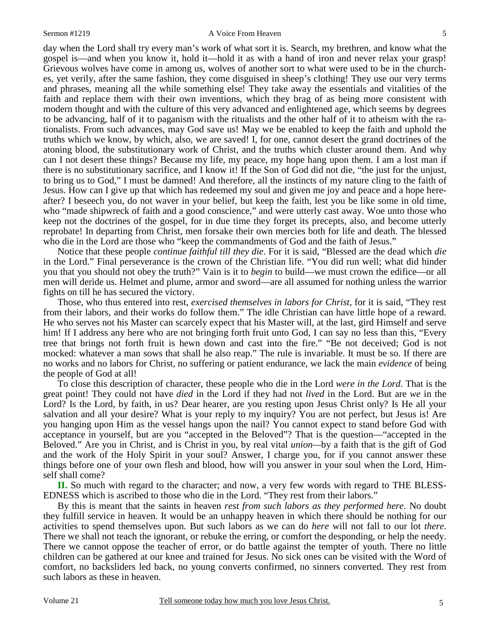#### Sermon #1219 A Voice From Heaven

day when the Lord shall try every man's work of what sort it is. Search, my brethren, and know what the gospel is—and when you know it, hold it—hold it as with a hand of iron and never relax your grasp! Grievous wolves have come in among us, wolves of another sort to what were used to be in the churches, yet verily, after the same fashion, they come disguised in sheep's clothing! They use our very terms and phrases, meaning all the while something else! They take away the essentials and vitalities of the faith and replace them with their own inventions, which they brag of as being more consistent with modern thought and with the culture of this very advanced and enlightened age, which seems by degrees to be advancing, half of it to paganism with the ritualists and the other half of it to atheism with the rationalists. From such advances, may God save us! May we be enabled to keep the faith and uphold the truths which we know, by which, also, we are saved! I, for one, cannot desert the grand doctrines of the atoning blood, the substitutionary work of Christ, and the truths which cluster around them. And why can I not desert these things? Because my life, my peace, my hope hang upon them. I am a lost man if there is no substitutionary sacrifice, and I know it! If the Son of God did not die, "the just for the unjust, to bring us to God," I must be damned! And therefore, all the instincts of my nature cling to the faith of Jesus. How can I give up that which has redeemed my soul and given me joy and peace and a hope hereafter? I beseech you, do not waver in your belief, but keep the faith, lest you be like some in old time, who "made shipwreck of faith and a good conscience," and were utterly cast away. Woe unto those who keep not the doctrines of the gospel, for in due time they forget its precepts, also, and become utterly reprobate! In departing from Christ, men forsake their own mercies both for life and death. The blessed who die in the Lord are those who "keep the commandments of God and the faith of Jesus."

Notice that these people *continue faithful till they die*. For it is said, "Blessed are the dead which *die* in the Lord." Final perseverance is the crown of the Christian life. "You did run well; what did hinder you that you should not obey the truth?" Vain is it to *begin* to build—we must crown the edifice—or all men will deride us. Helmet and plume, armor and sword—are all assumed for nothing unless the warrior fights on till he has secured the victory.

Those, who thus entered into rest, *exercised themselves in labors for Christ*, for it is said, "They rest from their labors, and their works do follow them." The idle Christian can have little hope of a reward. He who serves not his Master can scarcely expect that his Master will, at the last, gird Himself and serve him! If I address any here who are not bringing forth fruit unto God, I can say no less than this, "Every" tree that brings not forth fruit is hewn down and cast into the fire." "Be not deceived; God is not mocked: whatever a man sows that shall he also reap." The rule is invariable. It must be so. If there are no works and no labors for Christ, no suffering or patient endurance, we lack the main *evidence* of being the people of God at all!

To close this description of character, these people who die in the Lord *were in the Lord*. That is the great point! They could not have *died* in the Lord if they had not *lived* in the Lord. But are *we* in the Lord? Is the Lord, by faith, in us? Dear hearer, are you resting upon Jesus Christ only? Is He all your salvation and all your desire? What is your reply to my inquiry? You are not perfect, but Jesus is! Are you hanging upon Him as the vessel hangs upon the nail? You cannot expect to stand before God with acceptance in yourself, but are you "accepted in the Beloved"? That is the question—"accepted in the Beloved." Are you in Christ, and is Christ in you, by real vital *union—*by a faith that is the gift of God and the work of the Holy Spirit in your soul? Answer, I charge you, for if you cannot answer these things before one of your own flesh and blood, how will you answer in your soul when the Lord, Himself shall come?

**II.** So much with regard to the character; and now, a very few words with regard to THE BLESS-EDNESS which is ascribed to those who die in the Lord. "They rest from their labors."

By this is meant that the saints in heaven *rest from such labors as they performed here*. No doubt they fulfill service in heaven. It would be an unhappy heaven in which there should be nothing for our activities to spend themselves upon. But such labors as we can do *here* will not fall to our lot *there*. There we shall not teach the ignorant, or rebuke the erring, or comfort the desponding, or help the needy. There we cannot oppose the teacher of error, or do battle against the tempter of youth. There no little children can be gathered at our knee and trained for Jesus. No sick ones can be visited with the Word of comfort, no backsliders led back, no young converts confirmed, no sinners converted. They rest from such labors as these in heaven.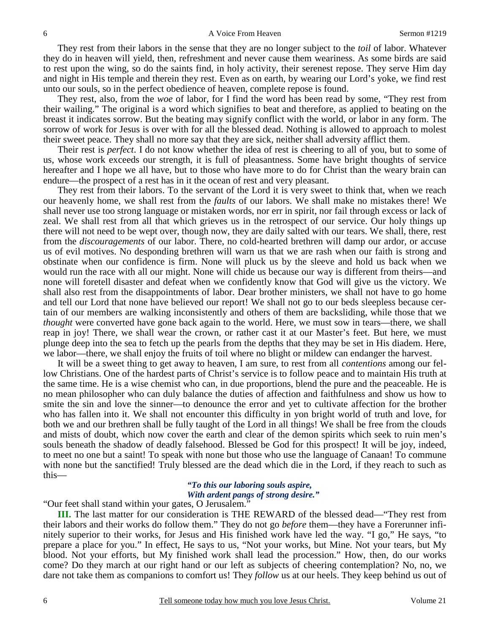They rest from their labors in the sense that they are no longer subject to the *toil* of labor. Whatever they do in heaven will yield, then, refreshment and never cause them weariness. As some birds are said to rest upon the wing, so do the saints find, in holy activity, their serenest repose. They serve Him day and night in His temple and therein they rest. Even as on earth, by wearing our Lord's yoke, we find rest unto our souls, so in the perfect obedience of heaven, complete repose is found.

They rest, also, from the *woe* of labor, for I find the word has been read by some, "They rest from their wailing." The original is a word which signifies to beat and therefore, as applied to beating on the breast it indicates sorrow. But the beating may signify conflict with the world, or labor in any form. The sorrow of work for Jesus is over with for all the blessed dead. Nothing is allowed to approach to molest their sweet peace. They shall no more say that they are sick, neither shall adversity afflict them.

Their rest is *perfect*. I do not know whether the idea of rest is cheering to all of you, but to some of us, whose work exceeds our strength, it is full of pleasantness. Some have bright thoughts of service hereafter and I hope we all have, but to those who have more to do for Christ than the weary brain can endure—the prospect of a rest has in it the ocean of rest and very pleasant.

They rest from their labors. To the servant of the Lord it is very sweet to think that, when we reach our heavenly home, we shall rest from the *faults* of our labors. We shall make no mistakes there! We shall never use too strong language or mistaken words, nor err in spirit, nor fail through excess or lack of zeal. We shall rest from all that which grieves us in the retrospect of our service. Our holy things up there will not need to be wept over, though now, they are daily salted with our tears. We shall, there, rest from the *discouragements* of our labor. There, no cold-hearted brethren will damp our ardor, or accuse us of evil motives. No desponding brethren will warn us that we are rash when our faith is strong and obstinate when our confidence is firm. None will pluck us by the sleeve and hold us back when we would run the race with all our might. None will chide us because our way is different from theirs—and none will foretell disaster and defeat when we confidently know that God will give us the victory. We shall also rest from the disappointments of labor. Dear brother ministers, we shall not have to go home and tell our Lord that none have believed our report! We shall not go to our beds sleepless because certain of our members are walking inconsistently and others of them are backsliding, while those that we *thought* were converted have gone back again to the world. Here, we must sow in tears—there, we shall reap in joy! There, we shall wear the crown, or rather cast it at our Master's feet. But here, we must plunge deep into the sea to fetch up the pearls from the depths that they may be set in His diadem. Here, we labor—there, we shall enjoy the fruits of toil where no blight or mildew can endanger the harvest.

It will be a sweet thing to get away to heaven, I am sure, to rest from all *contentions* among our fellow Christians. One of the hardest parts of Christ's service is to follow peace and to maintain His truth at the same time. He is a wise chemist who can, in due proportions, blend the pure and the peaceable. He is no mean philosopher who can duly balance the duties of affection and faithfulness and show us how to smite the sin and love the sinner—to denounce the error and yet to cultivate affection for the brother who has fallen into it. We shall not encounter this difficulty in yon bright world of truth and love, for both we and our brethren shall be fully taught of the Lord in all things! We shall be free from the clouds and mists of doubt, which now cover the earth and clear of the demon spirits which seek to ruin men's souls beneath the shadow of deadly falsehood. Blessed be God for this prospect! It will be joy, indeed, to meet no one but a saint! To speak with none but those who use the language of Canaan! To commune with none but the sanctified! Truly blessed are the dead which die in the Lord, if they reach to such as this—

# *"To this our laboring souls aspire, With ardent pangs of strong desire."*

"Our feet shall stand within your gates, O Jerusalem."

**III.** The last matter for our consideration is THE REWARD of the blessed dead—"They rest from their labors and their works do follow them." They do not go *before* them—they have a Forerunner infinitely superior to their works, for Jesus and His finished work have led the way. "I go," He says, "to prepare a place for you." In effect, He says to us, "Not your works, but Mine. Not your tears, but My blood. Not your efforts, but My finished work shall lead the procession." How, then, do our works come? Do they march at our right hand or our left as subjects of cheering contemplation? No, no, we dare not take them as companions to comfort us! They *follow* us at our heels. They keep behind us out of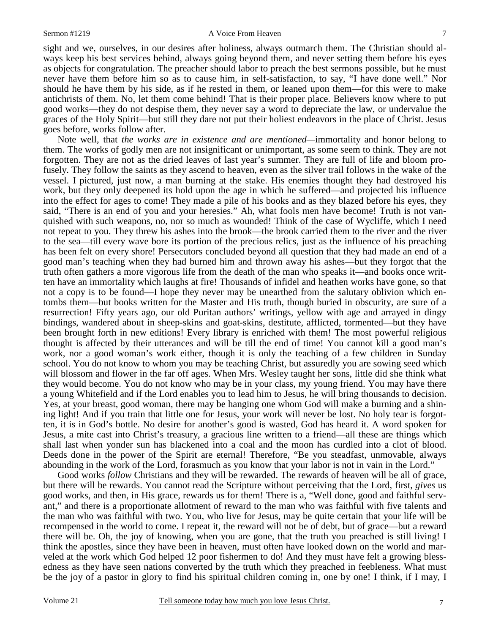sight and we, ourselves, in our desires after holiness, always outmarch them. The Christian should always keep his best services behind, always going beyond them, and never setting them before his eyes as objects for congratulation. The preacher should labor to preach the best sermons possible, but he must never have them before him so as to cause him, in self-satisfaction, to say, "I have done well." Nor should he have them by his side, as if he rested in them, or leaned upon them—for this were to make antichrists of them. No, let them come behind! That is their proper place. Believers know where to put good works—they do not despise them, they never say a word to depreciate the law, or undervalue the graces of the Holy Spirit—but still they dare not put their holiest endeavors in the place of Christ. Jesus goes before, works follow after.

Note well, that *the works are in existence and are mentioned—*immortality and honor belong to them. The works of godly men are not insignificant or unimportant, as some seem to think. They are not forgotten. They are not as the dried leaves of last year's summer. They are full of life and bloom profusely. They follow the saints as they ascend to heaven, even as the silver trail follows in the wake of the vessel. I pictured, just now, a man burning at the stake. His enemies thought they had destroyed his work, but they only deepened its hold upon the age in which he suffered—and projected his influence into the effect for ages to come! They made a pile of his books and as they blazed before his eyes, they said, "There is an end of you and your heresies." Ah, what fools men have become! Truth is not vanquished with such weapons, no, nor so much as wounded! Think of the case of Wycliffe, which I need not repeat to you. They threw his ashes into the brook—the brook carried them to the river and the river to the sea—till every wave bore its portion of the precious relics, just as the influence of his preaching has been felt on every shore! Persecutors concluded beyond all question that they had made an end of a good man's teaching when they had burned him and thrown away his ashes—but they forgot that the truth often gathers a more vigorous life from the death of the man who speaks it—and books once written have an immortality which laughs at fire! Thousands of infidel and heathen works have gone, so that not a copy is to be found—I hope they never may be unearthed from the salutary oblivion which entombs them—but books written for the Master and His truth, though buried in obscurity, are sure of a resurrection! Fifty years ago, our old Puritan authors' writings, yellow with age and arrayed in dingy bindings, wandered about in sheep-skins and goat-skins, destitute, afflicted, tormented—but they have been brought forth in new editions! Every library is enriched with them! The most powerful religious thought is affected by their utterances and will be till the end of time! You cannot kill a good man's work, nor a good woman's work either, though it is only the teaching of a few children in Sunday school. You do not know to whom you may be teaching Christ, but assuredly you are sowing seed which will blossom and flower in the far off ages. When Mrs. Wesley taught her sons, little did she think what they would become. You do not know who may be in your class, my young friend. You may have there a young Whitefield and if the Lord enables you to lead him to Jesus, he will bring thousands to decision. Yes, at your breast, good woman, there may be hanging one whom God will make a burning and a shining light! And if you train that little one for Jesus, your work will never be lost. No holy tear is forgotten, it is in God's bottle. No desire for another's good is wasted, God has heard it. A word spoken for Jesus, a mite cast into Christ's treasury, a gracious line written to a friend—all these are things which shall last when yonder sun has blackened into a coal and the moon has curdled into a clot of blood. Deeds done in the power of the Spirit are eternal! Therefore, "Be you steadfast, unmovable, always abounding in the work of the Lord, forasmuch as you know that your labor is not in vain in the Lord."

Good works *follow* Christians and they will be rewarded. The rewards of heaven will be all of grace, but there will be rewards. You cannot read the Scripture without perceiving that the Lord, first, *gives* us good works, and then, in His grace, rewards us for them! There is a, "Well done, good and faithful servant," and there is a proportionate allotment of reward to the man who was faithful with five talents and the man who was faithful with two. You, who live for Jesus, may be quite certain that your life will be recompensed in the world to come. I repeat it, the reward will not be of debt, but of grace—but a reward there will be. Oh, the joy of knowing, when you are gone, that the truth you preached is still living! I think the apostles, since they have been in heaven, must often have looked down on the world and marveled at the work which God helped 12 poor fishermen to do! And they must have felt a growing blessedness as they have seen nations converted by the truth which they preached in feebleness. What must be the joy of a pastor in glory to find his spiritual children coming in, one by one! I think, if I may, I